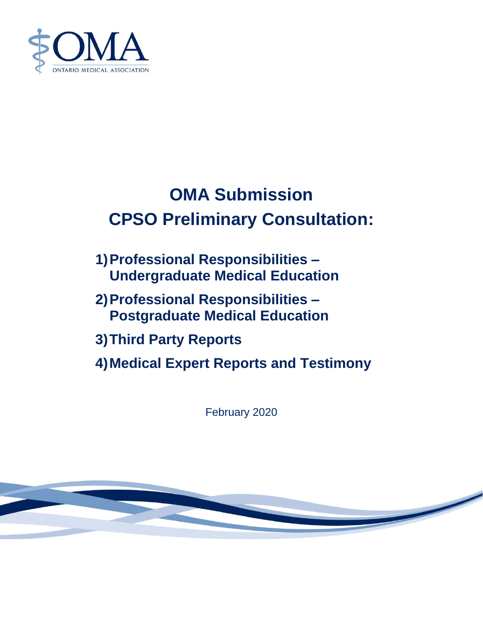

# **OMA Submission CPSO Preliminary Consultation:**

- **1)Professional Responsibilities – Undergraduate Medical Education**
- **2)Professional Responsibilities – Postgraduate Medical Education**
- **3)Third Party Reports**
- **4)Medical Expert Reports and Testimony**

February 2020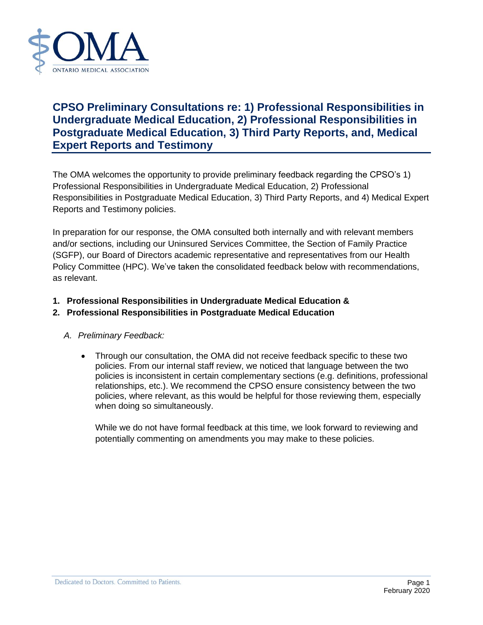

# **CPSO Preliminary Consultations re: 1) Professional Responsibilities in Undergraduate Medical Education, 2) Professional Responsibilities in Postgraduate Medical Education, 3) Third Party Reports, and, Medical Expert Reports and Testimony**

The OMA welcomes the opportunity to provide preliminary feedback regarding the CPSO's 1) Professional Responsibilities in Undergraduate Medical Education, 2) Professional Responsibilities in Postgraduate Medical Education, 3) Third Party Reports, and 4) Medical Expert Reports and Testimony policies.

In preparation for our response, the OMA consulted both internally and with relevant members and/or sections, including our Uninsured Services Committee, the Section of Family Practice (SGFP), our Board of Directors academic representative and representatives from our Health Policy Committee (HPC). We've taken the consolidated feedback below with recommendations, as relevant.

**1. Professional Responsibilities in Undergraduate Medical Education &**

# **2. Professional Responsibilities in Postgraduate Medical Education**

#### *A. Preliminary Feedback:*

• Through our consultation, the OMA did not receive feedback specific to these two policies. From our internal staff review, we noticed that language between the two policies is inconsistent in certain complementary sections (e.g. definitions, professional relationships, etc.). We recommend the CPSO ensure consistency between the two policies, where relevant, as this would be helpful for those reviewing them, especially when doing so simultaneously.

While we do not have formal feedback at this time, we look forward to reviewing and potentially commenting on amendments you may make to these policies.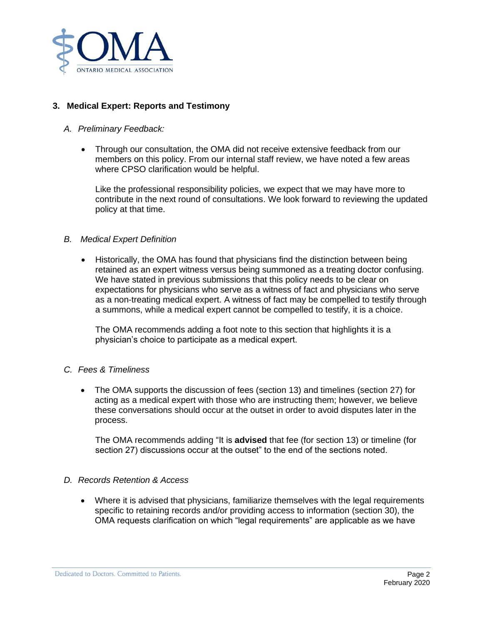

# **3. Medical Expert: Reports and Testimony**

## *A. Preliminary Feedback:*

• Through our consultation, the OMA did not receive extensive feedback from our members on this policy. From our internal staff review, we have noted a few areas where CPSO clarification would be helpful.

Like the professional responsibility policies, we expect that we may have more to contribute in the next round of consultations. We look forward to reviewing the updated policy at that time.

## *B. Medical Expert Definition*

• Historically, the OMA has found that physicians find the distinction between being retained as an expert witness versus being summoned as a treating doctor confusing. We have stated in previous submissions that this policy needs to be clear on expectations for physicians who serve as a witness of fact and physicians who serve as a non-treating medical expert. A witness of fact may be compelled to testify through a summons, while a medical expert cannot be compelled to testify, it is a choice.

The OMA recommends adding a foot note to this section that highlights it is a physician's choice to participate as a medical expert.

#### *C. Fees & Timeliness*

• The OMA supports the discussion of fees (section 13) and timelines (section 27) for acting as a medical expert with those who are instructing them; however, we believe these conversations should occur at the outset in order to avoid disputes later in the process.

The OMA recommends adding "It is **advised** that fee (for section 13) or timeline (for section 27) discussions occur at the outset" to the end of the sections noted.

#### *D. Records Retention & Access*

• Where it is advised that physicians, familiarize themselves with the legal requirements specific to retaining records and/or providing access to information (section 30), the OMA requests clarification on which "legal requirements" are applicable as we have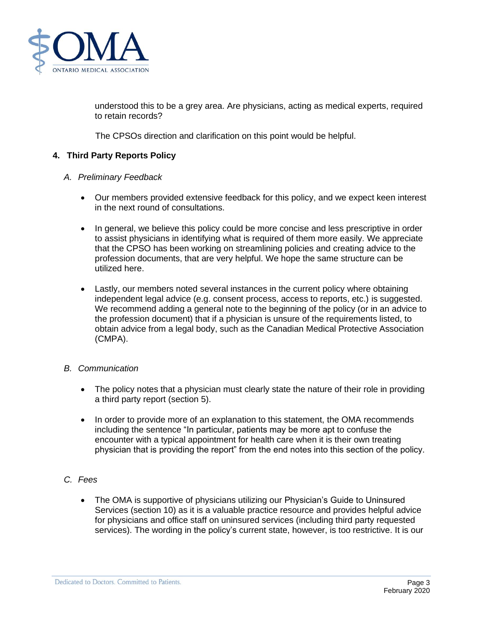

understood this to be a grey area. Are physicians, acting as medical experts, required to retain records?

The CPSOs direction and clarification on this point would be helpful.

## **4. Third Party Reports Policy**

#### *A. Preliminary Feedback*

- Our members provided extensive feedback for this policy, and we expect keen interest in the next round of consultations.
- In general, we believe this policy could be more concise and less prescriptive in order to assist physicians in identifying what is required of them more easily. We appreciate that the CPSO has been working on streamlining policies and creating advice to the profession documents, that are very helpful. We hope the same structure can be utilized here.
- Lastly, our members noted several instances in the current policy where obtaining independent legal advice (e.g. consent process, access to reports, etc.) is suggested. We recommend adding a general note to the beginning of the policy (or in an advice to the profession document) that if a physician is unsure of the requirements listed, to obtain advice from a legal body, such as the Canadian Medical Protective Association (CMPA).

#### *B. Communication*

- The policy notes that a physician must clearly state the nature of their role in providing a third party report (section 5).
- In order to provide more of an explanation to this statement, the OMA recommends including the sentence "In particular, patients may be more apt to confuse the encounter with a typical appointment for health care when it is their own treating physician that is providing the report" from the end notes into this section of the policy.
- *C. Fees*
	- The OMA is supportive of physicians utilizing our Physician's Guide to Uninsured Services (section 10) as it is a valuable practice resource and provides helpful advice for physicians and office staff on uninsured services (including third party requested services). The wording in the policy's current state, however, is too restrictive. It is our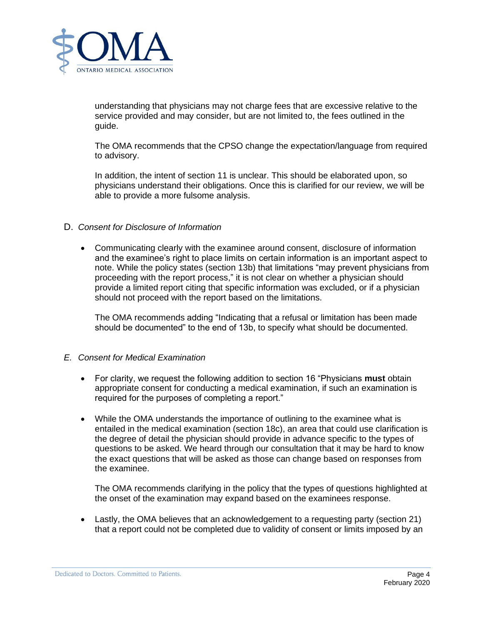

understanding that physicians may not charge fees that are excessive relative to the service provided and may consider, but are not limited to, the fees outlined in the guide.

The OMA recommends that the CPSO change the expectation/language from required to advisory.

In addition, the intent of section 11 is unclear. This should be elaborated upon, so physicians understand their obligations. Once this is clarified for our review, we will be able to provide a more fulsome analysis.

#### D. *Consent for Disclosure of Information*

• Communicating clearly with the examinee around consent, disclosure of information and the examinee's right to place limits on certain information is an important aspect to note. While the policy states (section 13b) that limitations "may prevent physicians from proceeding with the report process," it is not clear on whether a physician should provide a limited report citing that specific information was excluded, or if a physician should not proceed with the report based on the limitations.

The OMA recommends adding "Indicating that a refusal or limitation has been made should be documented" to the end of 13b, to specify what should be documented.

#### *E. Consent for Medical Examination*

- For clarity, we request the following addition to section 16 "Physicians **must** obtain appropriate consent for conducting a medical examination, if such an examination is required for the purposes of completing a report."
- While the OMA understands the importance of outlining to the examinee what is entailed in the medical examination (section 18c), an area that could use clarification is the degree of detail the physician should provide in advance specific to the types of questions to be asked. We heard through our consultation that it may be hard to know the exact questions that will be asked as those can change based on responses from the examinee.

The OMA recommends clarifying in the policy that the types of questions highlighted at the onset of the examination may expand based on the examinees response.

• Lastly, the OMA believes that an acknowledgement to a requesting party (section 21) that a report could not be completed due to validity of consent or limits imposed by an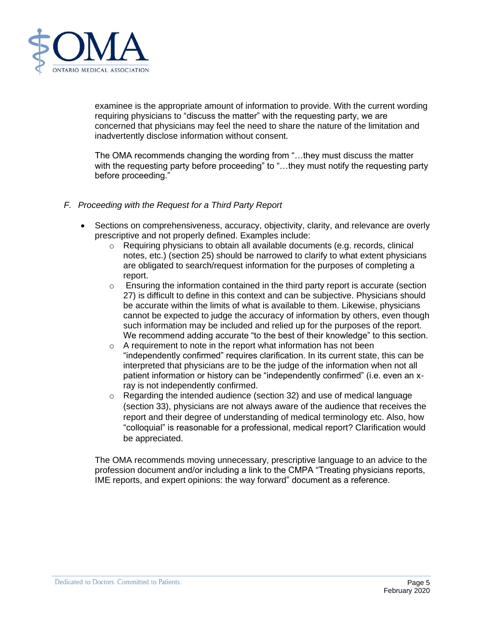

examinee is the appropriate amount of information to provide. With the current wording requiring physicians to "discuss the matter" with the requesting party, we are concerned that physicians may feel the need to share the nature of the limitation and inadvertently disclose information without consent.

The OMA recommends changing the wording from "…they must discuss the matter with the requesting party before proceeding" to "...they must notify the requesting party before proceeding."

- *F. Proceeding with the Request for a Third Party Report*
	- Sections on comprehensiveness, accuracy, objectivity, clarity, and relevance are overly prescriptive and not properly defined. Examples include:
		- $\circ$  Requiring physicians to obtain all available documents (e.g. records, clinical notes, etc.) (section 25) should be narrowed to clarify to what extent physicians are obligated to search/request information for the purposes of completing a report.
		- $\circ$  Ensuring the information contained in the third party report is accurate (section 27) is difficult to define in this context and can be subjective. Physicians should be accurate within the limits of what is available to them. Likewise, physicians cannot be expected to judge the accuracy of information by others, even though such information may be included and relied up for the purposes of the report. We recommend adding accurate "to the best of their knowledge" to this section.
		- $\circ$  A requirement to note in the report what information has not been "independently confirmed" requires clarification. In its current state, this can be interpreted that physicians are to be the judge of the information when not all patient information or history can be "independently confirmed" (i.e. even an xray is not independently confirmed.
		- $\circ$  Regarding the intended audience (section 32) and use of medical language (section 33), physicians are not always aware of the audience that receives the report and their degree of understanding of medical terminology etc. Also, how "colloquial" is reasonable for a professional, medical report? Clarification would be appreciated.

The OMA recommends moving unnecessary, prescriptive language to an advice to the profession document and/or including a link to the CMPA "Treating physicians reports, IME reports, and expert opinions: the way forward" document as a reference.